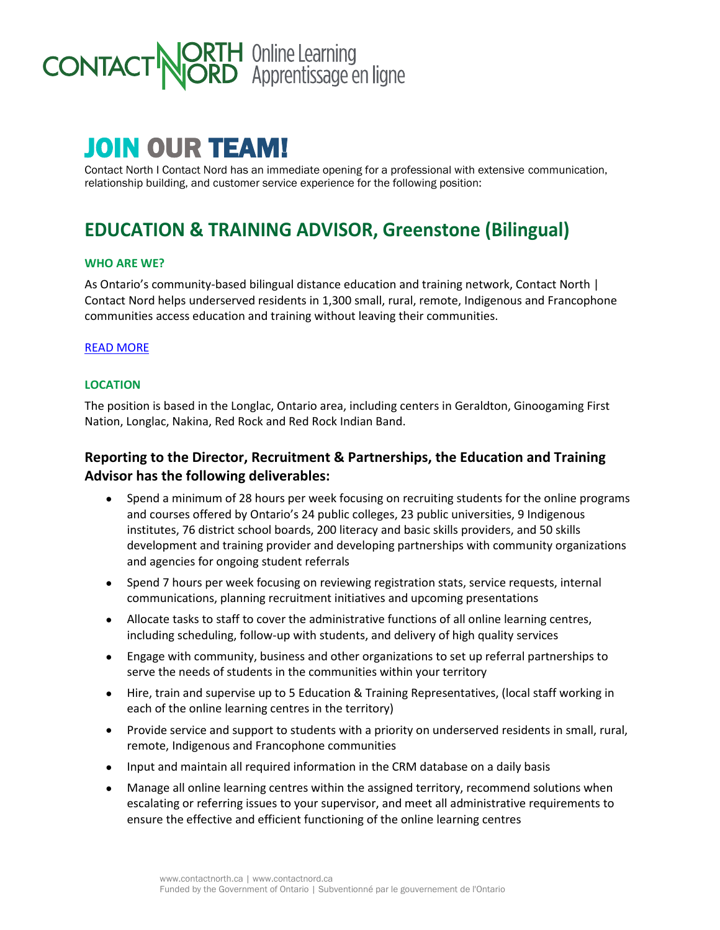# **ORTH** Online Learning<br>**JORD** Apprentissage en ligne **CONTACT**

# JOIN OUR TEAM!

Contact North I Contact Nord has an immediate opening for a professional with extensive communication, relationship building, and customer service experience for the following position:

# **EDUCATION & TRAINING ADVISOR, Greenstone (Bilingual)**

#### **WHO ARE WE?**

As Ontario's community-based bilingual distance education and training network, Contact North | Contact Nord helps underserved residents in 1,300 small, rural, remote, Indigenous and Francophone communities access education and training without leaving their communities.

#### [READ MORE](https://contactnorth.ca/about-us)

#### **LOCATION**

The position is based in the Longlac, Ontario area, including centers in Geraldton, Ginoogaming First Nation, Longlac, Nakina, Red Rock and Red Rock Indian Band.

## **Reporting to the Director, Recruitment & Partnerships, the Education and Training Advisor has the following deliverables:**

- Spend a minimum of 28 hours per week focusing on recruiting students for the online programs and courses offered by Ontario's 24 public colleges, 23 public universities, 9 Indigenous institutes, 76 district school boards, 200 literacy and basic skills providers, and 50 skills development and training provider and developing partnerships with community organizations and agencies for ongoing student referrals
- Spend 7 hours per week focusing on reviewing registration stats, service requests, internal communications, planning recruitment initiatives and upcoming presentations
- Allocate tasks to staff to cover the administrative functions of all online learning centres, including scheduling, follow-up with students, and delivery of high quality services
- Engage with community, business and other organizations to set up referral partnerships to serve the needs of students in the communities within your territory
- Hire, train and supervise up to 5 Education & Training Representatives, (local staff working in each of the online learning centres in the territory)
- Provide service and support to students with a priority on underserved residents in small, rural, remote, Indigenous and Francophone communities
- Input and maintain all required information in the CRM database on a daily basis
- Manage all online learning centres within the assigned territory, recommend solutions when escalating or referring issues to your supervisor, and meet all administrative requirements to ensure the effective and efficient functioning of the online learning centres